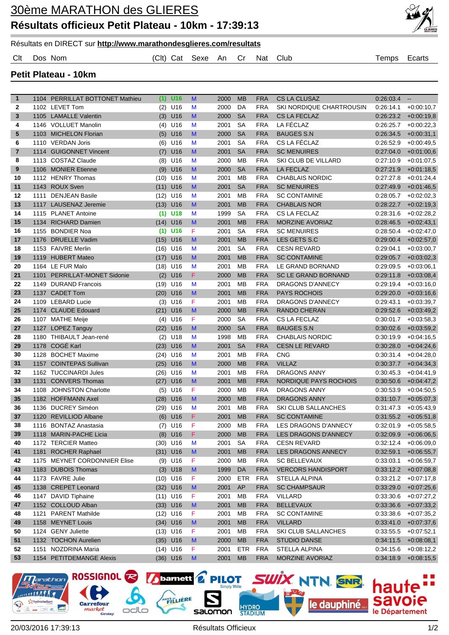

## Résultats en DIRECT sur **http://www.marathondesglieres.com/resultats**

Clt Dos Nom (Clt) Cat Sexe An Cr Nat Club Temps Ecarts

**Petit Plateau - 10km**

| $\mathbf{1}$ |      | 1104 PERRILLAT BOTTONET Mathieu | (1)  | U <sub>16</sub> | M  | 2000 | <b>MB</b>  | <b>FRA</b> | <b>CS LA CLUSAZ</b>          | 0:26:03.4 | $\overline{\phantom{a}}$ |
|--------------|------|---------------------------------|------|-----------------|----|------|------------|------------|------------------------------|-----------|--------------------------|
| 2            |      | 1102 LEVET Tom                  | (2)  | U16             | M  | 2000 | DA         | <b>FRA</b> | SKI NORDIQUE CHARTROUSIN     | 0.26.14.1 | $+0.00:10.7$             |
| 3            |      | 1105 LAMALLE Valentin           |      | $(3)$ U16       | M  | 2000 | <b>SA</b>  | <b>FRA</b> | <b>CS LA FECLAZ</b>          | 0:26:23.2 | $+0.00:19,8$             |
| 4            |      | 1146 VOLLUET Manolin            | (4)  | U16             | M  | 2001 | <b>SA</b>  | <b>FRA</b> | LA FÉCLAZ                    | 0:26:25.7 | $+0.00:22.3$             |
| 5            |      | 1103 MICHELON Florian           |      | $(5)$ U16       | M  | 2000 | <b>SA</b>  | <b>FRA</b> | <b>BAUGES S.N</b>            | 0:26:34.5 | $+0.00:31,1$             |
| 6            |      | 1110 VERDAN Joris               |      | $(6)$ U16       | M  | 2001 | <b>SA</b>  | <b>FRA</b> | CS LA FÉCLAZ                 | 0:26:52.9 | $+0.00:49.5$             |
| 7            | 1114 | <b>GUIGONNET Vincent</b>        | (7)  | U16             | M  | 2001 | <b>SA</b>  | <b>FRA</b> | <b>SC MENUIRES</b>           | 0.27:04.0 | $+0.01:00.6$             |
| 8            |      | 1113 COSTAZ Claude              | (8)  | U16             | M  | 2000 | MB         | <b>FRA</b> | SKI CLUB DE VILLARD          | 0.27:10.9 | $+0.01:07,5$             |
| 9            |      | 1106 MONIER Etienne             | (9)  | U16             | M  | 2000 | <b>SA</b>  | <b>FRA</b> | <b>LA FECLAZ</b>             | 0:27:21.9 | $+0.01:18,5$             |
| 10           |      | 1112 HENRY Thomas               | (10) | U16             | M  | 2001 | <b>MB</b>  | <b>FRA</b> | CHABLAIS NORDIC              | 0:27:27.8 | $+0.01:24.4$             |
| 11           |      | 1143 ROUX Sven                  | (11) | U16             | M  | 2001 | <b>SA</b>  | <b>FRA</b> | <b>SC MENUIRES</b>           | 0:27:49.9 | $+0.01:46,5$             |
| 12           | 1111 | <b>DENJEAN Basile</b>           | (12) | U16             | M  | 2001 | <b>MB</b>  | <b>FRA</b> | <b>SC CONTAMINE</b>          | 0:28:05.7 | $+0.02:02,3$             |
| 13           |      | 1117 LAUSENAZ Jeremie           | (13) | U16             | M  | 2001 | <b>MB</b>  | <b>FRA</b> | <b>CHABLAIS NOR</b>          | 0:28:22.7 | $+0.02:19,3$             |
| 14           |      | 1115 PLANET Antoine             |      | $(1)$ U18       | M  | 1999 | <b>SA</b>  | <b>FRA</b> | CS LA FECLAZ                 | 0.28:31.6 | $+0.02:28,2$             |
| 15           |      | 1134 RICHARD Damien             | (14) | U16             | M  | 2001 | <b>MB</b>  | <b>FRA</b> | <b>MORZINE AVORIAZ</b>       | 0:28:46.5 | $+0.02:43,1$             |
| 16           |      | 1155 BONDIER Noa                | (1)  | U <sub>16</sub> | F  | 2001 | <b>SA</b>  | <b>FRA</b> | <b>SC MENUIRES</b>           | 0.28:50.4 | $+0.02:47,0$             |
| 17           |      | 1176 DRUELLE Vadim              | (15) | U16             | M  | 2001 | <b>MB</b>  | <b>FRA</b> | LES GETS S.C                 | 0:29:00.4 | $+0.02:57,0$             |
| 18           |      | 1153 FAIVRE Merlin              | (16) | U16             | M  | 2001 | <b>SA</b>  | <b>FRA</b> | <b>CESN REVARD</b>           | 0:29:04.1 | $+0.03:00.7$             |
| 19           |      | 1119 HUBERT Mateo               | (17) | U16             | M  | 2001 | <b>MB</b>  | <b>FRA</b> | <b>SC CONTAMINE</b>          | 0:29:05.7 | $+0.03:02.3$             |
| 20           |      | 1164 LE FUR Malo                | (18) | U <sub>16</sub> | M  | 2001 | <b>MB</b>  | <b>FRA</b> | LE GRAND BORNAND             | 0:29:09.5 | $+0.03.06,1$             |
| 21           | 1101 | PERRILLAT-MONET Sidonie         | (2)  | U16             | F  | 2000 | <b>MB</b>  | <b>FRA</b> | <b>SC LE GRAND BORNAND</b>   | 0:29:11.8 | $+0.03:08,4$             |
| 22           | 1149 | <b>DURAND Francois</b>          | (19) | U16             | M  | 2001 | <b>MB</b>  | <b>FRA</b> | <b>DRAGONS D'ANNECY</b>      | 0:29:19.4 | $+0.03:16,0$             |
| 23           |      | 1137 CADET Tom                  | (20) | U16             | M  | 2001 | <b>MB</b>  | <b>FRA</b> | <b>PAYS ROCHOIS</b>          | 0:29:20.0 | $+0.03:16,6$             |
| 24           |      | 1109 LEBARD Lucie               | (3)  | U16             | F  | 2001 | <b>MB</b>  | <b>FRA</b> | <b>DRAGONS D'ANNECY</b>      | 0:29:43.1 | $+0.03.39.7$             |
| 25           |      | 1174 CLAUDE Edouard             | (21) | U16             | M  | 2000 | <b>MB</b>  | <b>FRA</b> | <b>RANDO CHERAN</b>          | 0:29:52.6 | $+0.03:49.2$             |
| 26           |      | 1107 MATHE Meije                | (4)  | U16             | F  | 2000 | <b>SA</b>  | <b>FRA</b> | CS LA FECLAZ                 | 0:30:01.7 | $+0.03.58.3$             |
| 27           |      | 1127 LOPEZ Tanguy               | (22) | U16             | M  | 2000 | <b>SA</b>  | <b>FRA</b> | <b>BAUGES S.N</b>            | 0:30:02.6 | $+0.03:59,2$             |
| 28           |      | 1180 THIBAULT Jean-rené         | (2)  | U18             | M  | 1998 | <b>MB</b>  | <b>FRA</b> | <b>CHABLAIS NORDIC</b>       | 0:30:19.9 | $+0.04:16.5$             |
| 29           | 1178 | COGÉ Karl                       | (23) | U <sub>16</sub> | M  | 2001 | <b>SA</b>  | <b>FRA</b> | <b>CESN LE REVARD</b>        | 0:30:28.0 | $+0.04:24,6$             |
| 30           | 1128 | <b>BOCHET Maxime</b>            | (24) | U16             | M  | 2001 | <b>MB</b>  | <b>FRA</b> | <b>CNG</b>                   | 0:30:31.4 | $+0.04:28,0$             |
| 31           | 1157 | <b>COINTEPAS Sullivan</b>       | (25) | U16             | M  | 2000 | <b>MB</b>  | <b>FRA</b> | <b>VILLAZ</b>                | 0:30:37.7 | $+0.04:34,3$             |
| 32           | 1162 | <b>TUCCINARDI Jules</b>         | (26) | U <sub>16</sub> | M  | 2001 | <b>MB</b>  | <b>FRA</b> | <b>DRAGONS ANNY</b>          | 0:30:45.3 | $+0.04:41,9$             |
| 33           | 1131 | <b>CONVERS Thomas</b>           | (27) | U16             | M  | 2001 | <b>MB</b>  | <b>FRA</b> | <b>NORDIQUE PAYS ROCHOIS</b> | 0:30:50.6 | $+0.04:47,2$             |
| 34           | 1108 | <b>JOHNSTON Charlotte</b>       | (5)  | U16             | F  | 2000 | MB         | <b>FRA</b> | <b>DRAGONS ANNY</b>          | 0:30:53.9 | $+0.04.50.5$             |
| 35           |      | 1182 HOFFMANN Axel              | (28) | U16             | M  | 2000 | <b>MB</b>  | <b>FRA</b> | <b>DRAGONS ANNY</b>          | 0:31:10.7 | $+0.05:07,3$             |
| 36           |      | 1136 DUCREY Siméon              |      | $(29)$ U16      | M  | 2001 | <b>MB</b>  | <b>FRA</b> | <b>SKI CLUB SALLANCHES</b>   | 0:31:47.3 | $+0.05:43,9$             |
| 37           | 1120 | <b>REVILLIOD Albane</b>         | (6)  | U16             | F  | 2001 | <b>MB</b>  | <b>FRA</b> | <b>SC CONTAMINE</b>          | 0.31.55.2 | $+0.05:51,8$             |
| 38           |      | 1116 BONTAZ Anastasia           |      | $(7)$ U16       | F  | 2000 | <b>MB</b>  | <b>FRA</b> | LES DRAGONS D'ANNECY         | 0:32:01.9 | $+0.05.58,5$             |
| 39           |      | 1118 MARIN-PACHE Licia          |      | $(8)$ U16       | F  | 2000 | <b>MB</b>  | <b>FRA</b> | LES DRAGONS D'ANNECY         | 0:32:09.9 | $+0.06:06,5$             |
| 40           |      | 1172 TERCIER Matteo             |      | $(30)$ U16      | M  | 2001 | <b>SA</b>  | FRA        | <b>CESN REVARD</b>           | 0:32:12.4 | $+0.06:09,0$             |
| 41           |      | 1181 ROCHER Raphael             |      | $(31)$ U16      | M  | 2001 | <b>MB</b>  | <b>FRA</b> | LES DRAGONS ANNECY           | 0:32:59.1 | $+0.06:55,7$             |
| 42           |      | 1175 MEYNET CORDONNIER Elise    |      | $(9)$ U16       | F  | 2000 | MB         | <b>FRA</b> | <b>SC BELLEVAUX</b>          | 0:33:03.1 | $+0.06.59,7$             |
| 43           |      | 1183 DUBOIS Thomas              |      | $(3)$ U18       | M  | 1999 | DA         | <b>FRA</b> | <b>VERCORS HANDISPORT</b>    |           | $0:33:12.2$ +0:07:08,8   |
| 44           |      | 1173 FAVRE Julie                |      | $(10)$ U16      | F  | 2000 | <b>ETR</b> | <b>FRA</b> | <b>STELLA ALPINA</b>         | 0:33:21.2 | $+0.07:17,8$             |
| 45           |      | 1138 CREPET Leonard             |      | $(32)$ U16      | M  | 2001 | AP         | <b>FRA</b> | <b>SC CHAMPSAUR</b>          | 0:33:29.0 | $+0.07:25,6$             |
| 46           |      | 1147 DAVID Tiphaine             |      | $(11)$ U16      | F. | 2001 | MB         | <b>FRA</b> | <b>VILLARD</b>               | 0:33:30.6 | $+0.07:27,2$             |
| 47           |      | 1152 COLLOUD Alban              |      | $(33)$ U16      | M  | 2001 | <b>MB</b>  | <b>FRA</b> | <b>BELLEVAUX</b>             | 0:33:36.6 | $+0:07:33,2$             |
| 48           |      | 1121 PARENT Mathilde            |      | $(12)$ U16      | F. | 2001 | MB         | <b>FRA</b> | <b>SC CONTAMINE</b>          | 0:33:38.6 | $+0.07:35,2$             |
| 49           |      | 1158 MEYNET Louis               |      | $(34)$ U16      | M  | 2001 | <b>MB</b>  | <b>FRA</b> | <b>VILLARD</b>               | 0:33:41.0 | $+0.07:37,6$             |
| 50           |      | 1124 GENY Juliette              |      | $(13)$ U16      | F. | 2001 | МB         | <b>FRA</b> | SKI CLUB SALLANCHES          | 0:33:55.5 | $+0.07:52,1$             |
| 51           |      | 1132 TOCHON Aurelien            |      | $(35)$ U16      | M  | 2000 | <b>MB</b>  | <b>FRA</b> | <b>STUDIO DANSE</b>          | 0:34:11.5 | $+0.08.08,1$             |
| 52           |      | 1151 NOZDRINA Maria             |      | $(14)$ U16      | F  | 2001 | <b>ETR</b> | <b>FRA</b> | STELLA ALPINA                | 0:34:15.6 | $+0.08:12,2$             |
| 53           |      | 1154 PETITDEMANGE Alexis        |      | $(36)$ U16      | M  | 2001 | <b>MB</b>  | <b>FRA</b> | MORZINE AVORIAZ              | 0:34:18.9 | $+0.08:15,5$             |